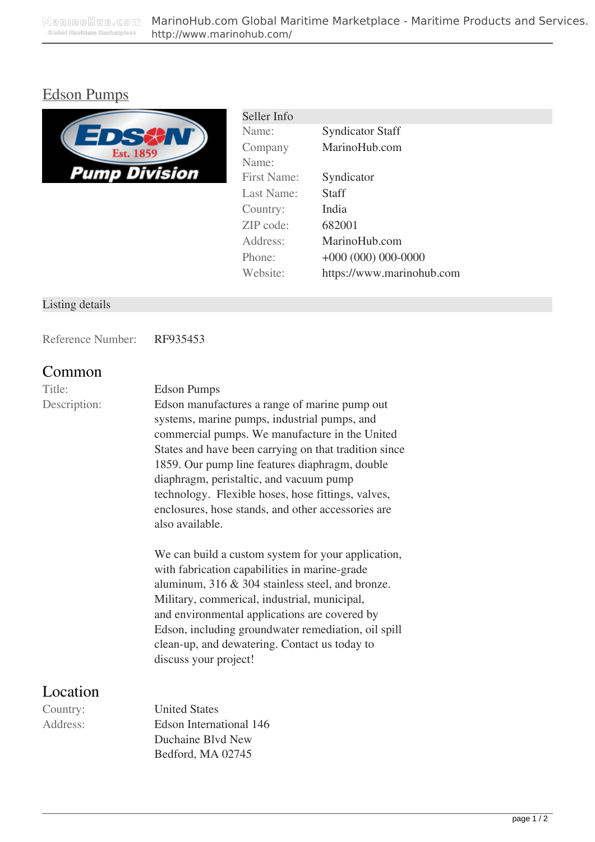## [Edson Pumps](http://www.marinohub.com/maritime-products/other-equipment-pump/edson-pumps-295.html)



| Seller Info |                           |
|-------------|---------------------------|
| Name:       | <b>Syndicator Staff</b>   |
| Company     | MarinoHub.com             |
| Name:       |                           |
| First Name: | Syndicator                |
| Last Name:  | Staff                     |
| Country:    | India                     |
| ZIP code:   | 682001                    |
| Address:    | MarinoHub.com             |
| Phone:      | $+000(000)000-0000$       |
| Website:    | https://www.marinohub.com |
|             |                           |

#### Listing details

Reference Number: RF935453

### **Common**

#### Title: Edson Pumps

Description: Edson manufactures a range of marine pump out systems, marine pumps, industrial pumps, and commercial pumps. We manufacture in the United States and have been carrying on that tradition since 1859. Our pump line features diaphragm, double diaphragm, peristaltic, and vacuum pump technology. Flexible hoses, hose fittings, valves, enclosures, hose stands, and other accessories are also available.

> We can build a custom system for your application, with fabrication capabilities in marine-grade aluminum, 316 & 304 stainless steel, and bronze. Military, commerical, industrial, municipal, and environmental applications are covered by Edson, including groundwater remediation, oil spill clean-up, and dewatering. Contact us today to discuss your project!

### **Location**

Country: United States Address: Edson International 146 Duchaine Blvd New Bedford, MA 02745